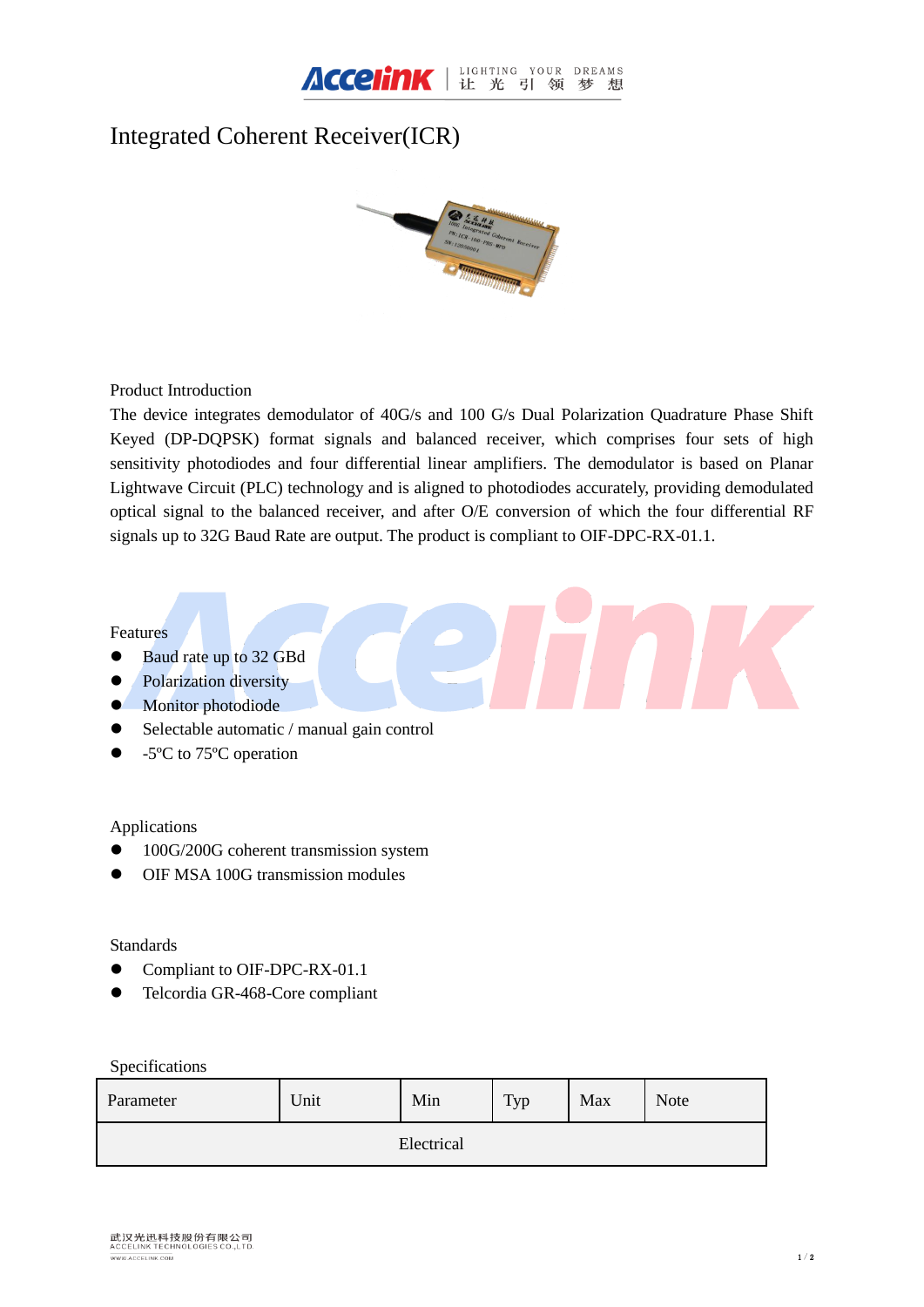

# Integrated Coherent Receiver(ICR)



Product Introduction

The device integrates demodulator of 40G/s and 100 G/s Dual Polarization Quadrature Phase Shift Keyed (DP-DQPSK) format signals and balanced receiver, which comprises four sets of high sensitivity photodiodes and four differential linear amplifiers. The demodulator is based on Planar Lightwave Circuit (PLC) technology and is aligned to photodiodes accurately, providing demodulated optical signal to the balanced receiver, and after O/E conversion of which the four differential RF signals up to 32G Baud Rate are output. The product is compliant to OIF-DPC-RX-01.1.

# Features

- Baud rate up to 32 GBd
- Polarization diversity
- **Monitor photodiode**
- Selectable automatic / manual gain control
- $\bullet$  -5 °C to 75 °C operation

## Applications

- 100G/200G coherent transmission system
- OIF MSA 100G transmission modules

#### **Standards**

- Compliant to OIF-DPC-RX-01.1
- Telcordia GR-468-Core compliant

## Specifications

| Parameter  | Unit | Min | Typ | Max | <b>Note</b> |  |  |  |
|------------|------|-----|-----|-----|-------------|--|--|--|
| Electrical |      |     |     |     |             |  |  |  |